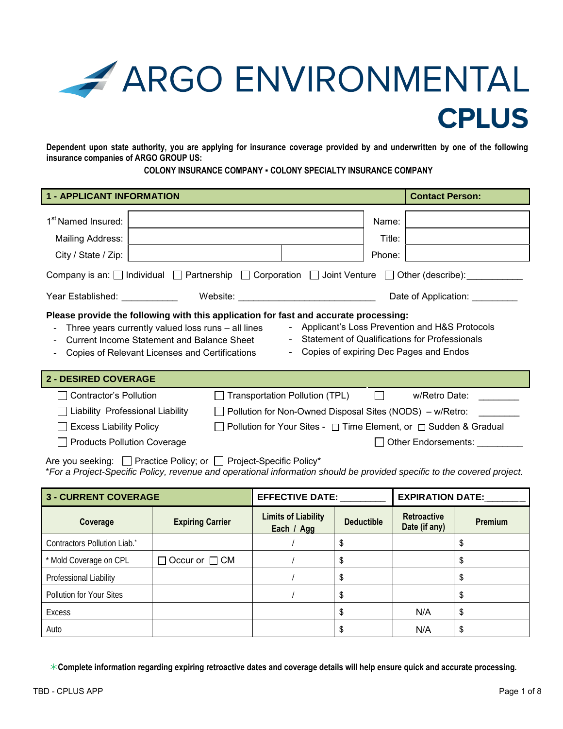

**Dependent upon state authority, you are applying for insurance coverage provided by and underwritten by one of the following insurance companies of ARGO GROUP US:** 

### **COLONY INSURANCE COMPANY ▪ COLONY SPECIALTY INSURANCE COMPANY**

| <b>1 - APPLICANT INFORMATION</b>                                                                                                                                                                                                                                                                                                                                                                       |                                                                                      |                                                                                                                                                                         |  |  |                           | <b>Contact Person:</b>               |  |
|--------------------------------------------------------------------------------------------------------------------------------------------------------------------------------------------------------------------------------------------------------------------------------------------------------------------------------------------------------------------------------------------------------|--------------------------------------------------------------------------------------|-------------------------------------------------------------------------------------------------------------------------------------------------------------------------|--|--|---------------------------|--------------------------------------|--|
| 1 <sup>st</sup> Named Insured:<br>Mailing Address:<br>City / State / Zip:                                                                                                                                                                                                                                                                                                                              |                                                                                      |                                                                                                                                                                         |  |  | Name:<br>Title:<br>Phone: |                                      |  |
| Company is an: $\Box$ Individual $\Box$ Partnership $\Box$ Corporation $\Box$ Joint Venture $\Box$ Other (describe):                                                                                                                                                                                                                                                                                   |                                                                                      |                                                                                                                                                                         |  |  |                           |                                      |  |
|                                                                                                                                                                                                                                                                                                                                                                                                        | Year Established: Nearly Mean Assembly<br>Website: _________________________________ |                                                                                                                                                                         |  |  |                           | Date of Application:                 |  |
| Please provide the following with this application for fast and accurate processing:<br>- Applicant's Loss Prevention and H&S Protocols<br>Three years currently valued loss runs - all lines<br><b>Statement of Qualifications for Professionals</b><br><b>Current Income Statement and Balance Sheet</b><br>Copies of expiring Dec Pages and Endos<br>Copies of Relevant Licenses and Certifications |                                                                                      |                                                                                                                                                                         |  |  |                           |                                      |  |
|                                                                                                                                                                                                                                                                                                                                                                                                        | <b>2 - DESIRED COVERAGE</b>                                                          |                                                                                                                                                                         |  |  |                           |                                      |  |
| <b>Contractor's Pollution</b><br><b>Excess Liability Policy</b><br><b>Products Pollution Coverage</b>                                                                                                                                                                                                                                                                                                  | Liability Professional Liability                                                     | Transportation Pollution (TPL)<br>$\Box$ Pollution for Non-Owned Disposal Sites (NODS) $-$ w/Retro:<br>Pollution for Your Sites - □ Time Element, or □ Sudden & Gradual |  |  | <b>Lating</b>             | w/Retro Date:<br>Other Endorsements: |  |

Are you seeking: Practice Policy; or Project-Specific Policy\* \**For a Project-Specific Policy, revenue and operational information should be provided specific to the covered project.*

| <b>3 - CURRENT COVERAGE</b>  |                           | <b>EFFECTIVE DATE:</b>                   |                   | <b>EXPIRATION DATE:</b>             |         |
|------------------------------|---------------------------|------------------------------------------|-------------------|-------------------------------------|---------|
| Coverage                     | <b>Expiring Carrier</b>   | <b>Limits of Liability</b><br>Each / Agg | <b>Deductible</b> | <b>Retroactive</b><br>Date (if any) | Premium |
| Contractors Pollution Liab.* |                           |                                          | \$                |                                     | \$      |
| * Mold Coverage on CPL       | $\Box$ Occur or $\Box$ CM |                                          | \$                |                                     | \$      |
| Professional Liability       |                           |                                          | \$                |                                     | \$      |
| Pollution for Your Sites     |                           |                                          | \$                |                                     | \$      |
| <b>Excess</b>                |                           |                                          | \$                | N/A                                 | \$      |
| Auto                         |                           |                                          | \$                | N/A                                 | \$      |

**Complete information regarding expiring retroactive dates and coverage details will help ensure quick and accurate processing.**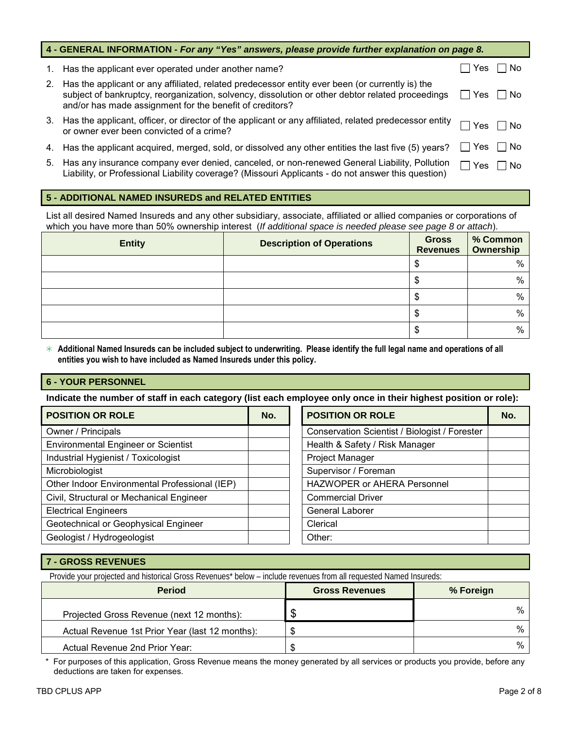|    | 4 - GENERAL INFORMATION - For any "Yes" answers, please provide further explanation on page 8.                                                                                                                                                                  |              |               |
|----|-----------------------------------------------------------------------------------------------------------------------------------------------------------------------------------------------------------------------------------------------------------------|--------------|---------------|
|    | 1. Has the applicant ever operated under another name?                                                                                                                                                                                                          |              | Yes     No    |
| 2. | Has the applicant or any affiliated, related predecessor entity ever been (or currently is) the<br>subject of bankruptcy, reorganization, solvency, dissolution or other debtor related proceedings<br>and/or has made assignment for the benefit of creditors? | $\mathbf{I}$ | 'Yes □ No     |
| 3. | Has the applicant, officer, or director of the applicant or any affiliated, related predecessor entity<br>or owner ever been convicted of a crime?                                                                                                              |              | Yes $\Box$ No |
| 4. | Has the applicant acquired, merged, sold, or dissolved any other entities the last five (5) years?                                                                                                                                                              | ∐ Yes        | l INo         |
| 5. | Has any insurance company ever denied, canceled, or non-renewed General Liability, Pollution<br>Liability, or Professional Liability coverage? (Missouri Applicants - do not answer this question)                                                              | Yes          | l INo         |

# **5 - ADDITIONAL NAMED INSUREDS and RELATED ENTITIES**

List all desired Named Insureds and any other subsidiary, associate, affiliated or allied companies or corporations of which you have more than 50% ownership interest (*If additional space is needed please see page 8 or attach*).

| <b>Entity</b> | <b>Description of Operations</b> | <b>Gross</b><br><b>Revenues</b> | % Common<br>Ownership |
|---------------|----------------------------------|---------------------------------|-----------------------|
|               |                                  |                                 | %                     |
|               |                                  | Ф                               | $\%$                  |
|               |                                  | Æ                               | %                     |
|               |                                  |                                 | %                     |
|               |                                  |                                 | %                     |

 **Additional Named Insureds can be included subject to underwriting. Please identify the full legal name and operations of all entities you wish to have included as Named Insureds under this policy.**

# **6 - YOUR PERSONNEL**

**Indicate the number of staff in each category (list each employee only once in their highest position or role):**

| <b>POSITION OR ROLE</b>                       | No. | <b>POSITION OR ROLE</b>                       | No. |
|-----------------------------------------------|-----|-----------------------------------------------|-----|
| Owner / Principals                            |     | Conservation Scientist / Biologist / Forester |     |
| <b>Environmental Engineer or Scientist</b>    |     | Health & Safety / Risk Manager                |     |
| Industrial Hygienist / Toxicologist           |     | Project Manager                               |     |
| Microbiologist                                |     | Supervisor / Foreman                          |     |
| Other Indoor Environmental Professional (IEP) |     | <b>HAZWOPER or AHERA Personnel</b>            |     |
| Civil, Structural or Mechanical Engineer      |     | <b>Commercial Driver</b>                      |     |
| <b>Electrical Engineers</b>                   |     | <b>General Laborer</b>                        |     |
| Geotechnical or Geophysical Engineer          |     | Clerical                                      |     |
| Geologist / Hydrogeologist                    |     | Other:                                        |     |

## **7 - GROSS REVENUES**

Provide your projected and historical Gross Revenues\* below - include revenues from all requested Named Insureds:

| <b>Period</b>                                   | <b>Gross Revenues</b> | % Foreign |
|-------------------------------------------------|-----------------------|-----------|
| Projected Gross Revenue (next 12 months):       | ъĐ                    | %         |
| Actual Revenue 1st Prior Year (last 12 months): | \$                    | $\%$      |
| Actual Revenue 2nd Prior Year:                  | \$                    | %         |

\* For purposes of this application, Gross Revenue means the money generated by all services or products you provide, before any deductions are taken for expenses.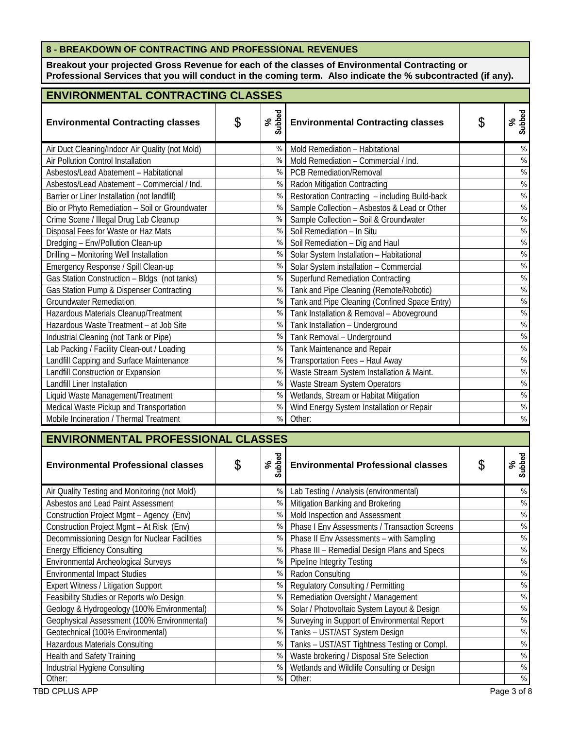# **8 - BREAKDOWN OF CONTRACTING AND PROFESSIONAL REVENUES**

**Breakout your projected Gross Revenue for each of the classes of Environmental Contracting or Professional Services that you will conduct in the coming term. Also indicate the % subcontracted (if any).**

| <b>ENVIRONMENTAL CONTRACTING CLASSES</b>        |    |               |                                                |    |               |  |
|-------------------------------------------------|----|---------------|------------------------------------------------|----|---------------|--|
| <b>Environmental Contracting classes</b>        | \$ | Subbed<br>న్  | <b>Environmental Contracting classes</b>       | \$ | Subbed<br>న్  |  |
| Air Duct Cleaning/Indoor Air Quality (not Mold) |    | $\%$          | Mold Remediation - Habitational                |    | $\frac{0}{0}$ |  |
| Air Pollution Control Installation              |    | $\%$          | Mold Remediation - Commercial / Ind.           |    | $\%$          |  |
| Asbestos/Lead Abatement - Habitational          |    | $\%$          | <b>PCB Remediation/Removal</b>                 |    | $\%$          |  |
| Asbestos/Lead Abatement - Commercial / Ind.     |    | $\%$          | Radon Mitigation Contracting                   |    | $\%$          |  |
| Barrier or Liner Installation (not landfill)    |    | $\frac{0}{0}$ | Restoration Contracting - including Build-back |    | $\%$          |  |
| Bio or Phyto Remediation - Soil or Groundwater  |    | $\frac{0}{0}$ | Sample Collection - Asbestos & Lead or Other   |    | $\%$          |  |
| Crime Scene / Illegal Drug Lab Cleanup          |    | $\%$          | Sample Collection - Soil & Groundwater         |    | $\%$          |  |
| Disposal Fees for Waste or Haz Mats             |    | $\%$          | Soil Remediation - In Situ                     |    | $\%$          |  |
| Dredging - Env/Pollution Clean-up               |    | $\frac{0}{0}$ | Soil Remediation - Dig and Haul                |    | $\frac{1}{2}$ |  |
| Drilling - Monitoring Well Installation         |    | $\frac{0}{0}$ | Solar System Installation - Habitational       |    | $\%$          |  |
| Emergency Response / Spill Clean-up             |    | $\frac{0}{0}$ | Solar System installation - Commercial         |    | $\%$          |  |
| Gas Station Construction - Bldgs (not tanks)    |    | $\frac{0}{0}$ | <b>Superfund Remediation Contracting</b>       |    | $\%$          |  |
| Gas Station Pump & Dispenser Contracting        |    | $\%$          | Tank and Pipe Cleaning (Remote/Robotic)        |    | $\frac{1}{2}$ |  |
| <b>Groundwater Remediation</b>                  |    | $\%$          | Tank and Pipe Cleaning (Confined Space Entry)  |    | $\%$          |  |
| Hazardous Materials Cleanup/Treatment           |    | $\%$          | Tank Installation & Removal - Aboveground      |    | $\%$          |  |
| Hazardous Waste Treatment - at Job Site         |    | $\%$          | Tank Installation - Underground                |    | $\%$          |  |
| Industrial Cleaning (not Tank or Pipe)          |    | $\%$          | Tank Removal - Underground                     |    | $\%$          |  |
| Lab Packing / Facility Clean-out / Loading      |    | %             | Tank Maintenance and Repair                    |    | $\%$          |  |
| Landfill Capping and Surface Maintenance        |    | $\%$          | Transportation Fees - Haul Away                |    | $\%$          |  |
| Landfill Construction or Expansion              |    | $\%$          | Waste Stream System Installation & Maint.      |    | $\%$          |  |
| Landfill Liner Installation                     |    | %             | Waste Stream System Operators                  |    | $\%$          |  |
| Liquid Waste Management/Treatment               |    | $\%$          | Wetlands, Stream or Habitat Mitigation         |    | $\%$          |  |
| Medical Waste Pickup and Transportation         |    | $\%$          | Wind Energy System Installation or Repair      |    | $\%$          |  |
| Mobile Incineration / Thermal Treatment         |    | $\%$          | Other:                                         |    | $\%$          |  |

| <b>ENVIRONMENTAL PROFESSIONAL CLASSES</b>     |    |                        |                                               |   |               |  |  |
|-----------------------------------------------|----|------------------------|-----------------------------------------------|---|---------------|--|--|
| <b>Environmental Professional classes</b>     | \$ | ubbed<br>$\aleph$<br>ഗ | <b>Environmental Professional classes</b>     | S | Subbed<br>వ్  |  |  |
| Air Quality Testing and Monitoring (not Mold) |    | $\%$                   | Lab Testing / Analysis (environmental)        |   | %             |  |  |
| Asbestos and Lead Paint Assessment            |    | %                      | Mitigation Banking and Brokering              |   | $\frac{0}{0}$ |  |  |
| Construction Project Mgmt - Agency (Env)      |    | $\frac{0}{0}$          | Mold Inspection and Assessment                |   | $\frac{0}{0}$ |  |  |
| Construction Project Mgmt - At Risk (Env)     |    | $\frac{0}{0}$          | Phase I Env Assessments / Transaction Screens |   | $\frac{0}{0}$ |  |  |
| Decommissioning Design for Nuclear Facilities |    | $\%$                   | Phase II Env Assessments - with Sampling      |   | %             |  |  |
| <b>Energy Efficiency Consulting</b>           |    | $\frac{0}{0}$          | Phase III - Remedial Design Plans and Specs   |   | $\frac{0}{0}$ |  |  |
| Environmental Archeological Surveys           |    | $\%$                   | <b>Pipeline Integrity Testing</b>             |   | $\frac{0}{0}$ |  |  |
| <b>Environmental Impact Studies</b>           |    | $\%$                   | Radon Consulting                              |   | $\frac{0}{0}$ |  |  |
| Expert Witness / Litigation Support           |    | $\%$                   | Regulatory Consulting / Permitting            |   | $\frac{0}{0}$ |  |  |
| Feasibility Studies or Reports w/o Design     |    | $\frac{0}{0}$          | Remediation Oversight / Management            |   | $\frac{0}{0}$ |  |  |
| Geology & Hydrogeology (100% Environmental)   |    | $\frac{0}{0}$          | Solar / Photovoltaic System Layout & Design   |   | $\frac{0}{0}$ |  |  |
| Geophysical Assessment (100% Environmental)   |    | $\frac{0}{0}$          | Surveying in Support of Environmental Report  |   | $\frac{0}{0}$ |  |  |
| Geotechnical (100% Environmental)             |    | %                      | Tanks - UST/AST System Design                 |   | $\frac{0}{0}$ |  |  |
| Hazardous Materials Consulting                |    | $\%$                   | Tanks - UST/AST Tightness Testing or Compl.   |   | $\frac{0}{0}$ |  |  |
| Health and Safety Training                    |    | $\frac{0}{0}$          | Waste brokering / Disposal Site Selection     |   | $\frac{0}{0}$ |  |  |
| Industrial Hygiene Consulting                 |    | $\%$                   | Wetlands and Wildlife Consulting or Design    |   | $\frac{0}{0}$ |  |  |
| Other:                                        |    | %                      | Other:                                        |   | $\frac{0}{0}$ |  |  |

TBD CPLUS APP Page 3 of 8 Apple 2 of 8 Apple 2 of 8 Apple 2 of 8 Apple 2 of 8 Apple 2 of 8 Apple 2 of 8 Apple 2 of 8 Apple 2 of 8 Apple 2 of 8 Apple 2 of 8 Apple 2 of 8 Apple 2 of 8 Apple 2 of 8 Apple 2 of 8 Apple 2 of 8 A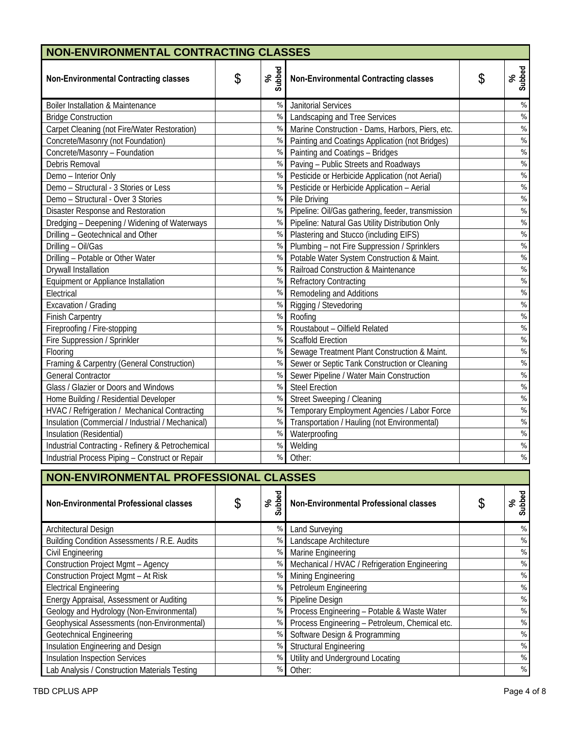| NON-ENVIRONMENTAL CONTRACTING CLASSES             |    |               |                                                    |  |              |  |  |  |
|---------------------------------------------------|----|---------------|----------------------------------------------------|--|--------------|--|--|--|
| <b>Non-Environmental Contracting classes</b>      | \$ | Subbed<br>న్  | \$<br><b>Non-Environmental Contracting classes</b> |  | Subbed<br>వ్ |  |  |  |
| <b>Boiler Installation &amp; Maintenance</b>      |    | $\%$          | <b>Janitorial Services</b>                         |  | $\%$         |  |  |  |
| <b>Bridge Construction</b>                        |    | $\%$          | Landscaping and Tree Services                      |  | $\%$         |  |  |  |
| Carpet Cleaning (not Fire/Water Restoration)      |    | $\%$          | Marine Construction - Dams, Harbors, Piers, etc.   |  | $\%$         |  |  |  |
| Concrete/Masonry (not Foundation)                 |    | $\%$          | Painting and Coatings Application (not Bridges)    |  | $\%$         |  |  |  |
| Concrete/Masonry - Foundation                     |    | $\%$          | Painting and Coatings - Bridges                    |  | $\%$         |  |  |  |
| Debris Removal                                    |    | $\frac{0}{0}$ | Paving - Public Streets and Roadways               |  | $\%$         |  |  |  |
| Demo - Interior Only                              |    | %             | Pesticide or Herbicide Application (not Aerial)    |  | $\%$         |  |  |  |
| Demo - Structural - 3 Stories or Less             |    | $\%$          | Pesticide or Herbicide Application - Aerial        |  | $\%$         |  |  |  |
| Demo - Structural - Over 3 Stories                |    | $\%$          | Pile Driving                                       |  | $\%$         |  |  |  |
| Disaster Response and Restoration                 |    | %             | Pipeline: Oil/Gas gathering, feeder, transmission  |  | $\%$         |  |  |  |
| Dredging - Deepening / Widening of Waterways      |    | $\%$          | Pipeline: Natural Gas Utility Distribution Only    |  | $\%$         |  |  |  |
| Drilling - Geotechnical and Other                 |    | $\%$          | Plastering and Stucco (including EIFS)             |  | $\%$         |  |  |  |
| Drilling - Oil/Gas                                |    | $\%$          | Plumbing - not Fire Suppression / Sprinklers       |  | $\%$         |  |  |  |
| Drilling - Potable or Other Water                 |    | $\%$          | Potable Water System Construction & Maint.         |  | $\%$         |  |  |  |
| <b>Drywall Installation</b>                       |    | $\frac{0}{0}$ | Railroad Construction & Maintenance                |  | $\%$         |  |  |  |
| Equipment or Appliance Installation               |    | $\%$          | <b>Refractory Contracting</b>                      |  | $\%$         |  |  |  |
| Electrical                                        |    | $\%$          | Remodeling and Additions                           |  | $\%$         |  |  |  |
| Excavation / Grading                              |    | $\frac{0}{0}$ | Rigging / Stevedoring                              |  | $\%$         |  |  |  |
| <b>Finish Carpentry</b>                           |    | $\%$          | Roofing                                            |  | $\%$         |  |  |  |
| Fireproofing / Fire-stopping                      |    | $\%$          | Roustabout - Oilfield Related                      |  | $\%$         |  |  |  |
| Fire Suppression / Sprinkler                      |    | $\%$          | Scaffold Erection                                  |  | $\%$         |  |  |  |
| Flooring                                          |    | $\%$          | Sewage Treatment Plant Construction & Maint.       |  | $\%$         |  |  |  |
| Framing & Carpentry (General Construction)        |    | %             | Sewer or Septic Tank Construction or Cleaning      |  | $\%$         |  |  |  |
| <b>General Contractor</b>                         |    | $\%$          | Sewer Pipeline / Water Main Construction           |  | $\%$         |  |  |  |
| Glass / Glazier or Doors and Windows              |    | $\%$          | <b>Steel Erection</b>                              |  | $\%$         |  |  |  |
| Home Building / Residential Developer             |    | $\%$          | Street Sweeping / Cleaning                         |  | $\%$         |  |  |  |
| HVAC / Refrigeration / Mechanical Contracting     |    | $\%$          | Temporary Employment Agencies / Labor Force        |  | $\%$         |  |  |  |
| Insulation (Commercial / Industrial / Mechanical) |    | $\%$          | Transportation / Hauling (not Environmental)       |  | $\%$         |  |  |  |
| Insulation (Residential)                          |    | $\%$          | Waterproofing                                      |  | $\%$         |  |  |  |
| Industrial Contracting - Refinery & Petrochemical |    | $\%$          | Welding                                            |  | $\%$         |  |  |  |
| Industrial Process Piping - Construct or Repair   |    | $\%$          | Other:                                             |  | $\%$         |  |  |  |

| NON-ENVIRONMENTAL PROFESSIONAL CLASSES        |    |                  |                                                |  |               |  |
|-----------------------------------------------|----|------------------|------------------------------------------------|--|---------------|--|
| Non-Environmental Professional classes        | \$ | ubbed<br>వి<br>ഗ | <b>Non-Environmental Professional classes</b>  |  | Subbed<br>ళ   |  |
| Architectural Design                          |    | $\%$             | Land Surveying                                 |  | $\%$          |  |
| Building Condition Assessments / R.E. Audits  |    | $\frac{0}{0}$    | Landscape Architecture                         |  | $\%$          |  |
| Civil Engineering                             |    | %                | Marine Engineering                             |  | $\%$          |  |
| <b>Construction Project Mgmt - Agency</b>     |    | $\frac{0}{0}$    | Mechanical / HVAC / Refrigeration Engineering  |  | $\frac{0}{0}$ |  |
| Construction Project Mgmt - At Risk           |    | $\%$             | Mining Engineering                             |  | $\frac{0}{0}$ |  |
| <b>Electrical Engineering</b>                 |    | $\%$             | Petroleum Engineering                          |  | $\%$          |  |
| Energy Appraisal, Assessment or Auditing      |    | $\%$             | Pipeline Design                                |  | $\%$          |  |
| Geology and Hydrology (Non-Environmental)     |    | %                | Process Engineering - Potable & Waste Water    |  | $\%$          |  |
| Geophysical Assessments (non-Environmental)   |    | $\frac{0}{0}$    | Process Engineering - Petroleum, Chemical etc. |  | $\%$          |  |
| <b>Geotechnical Engineering</b>               |    | $\frac{0}{0}$    | Software Design & Programming                  |  | $\frac{0}{0}$ |  |
| Insulation Engineering and Design             |    | $\frac{0}{0}$    | <b>Structural Engineering</b>                  |  | $\frac{0}{0}$ |  |
| <b>Insulation Inspection Services</b>         |    | $\frac{0}{0}$    | Utility and Underground Locating               |  | $\%$          |  |
| Lab Analysis / Construction Materials Testing |    | $\%$             | Other:                                         |  | $\frac{0}{0}$ |  |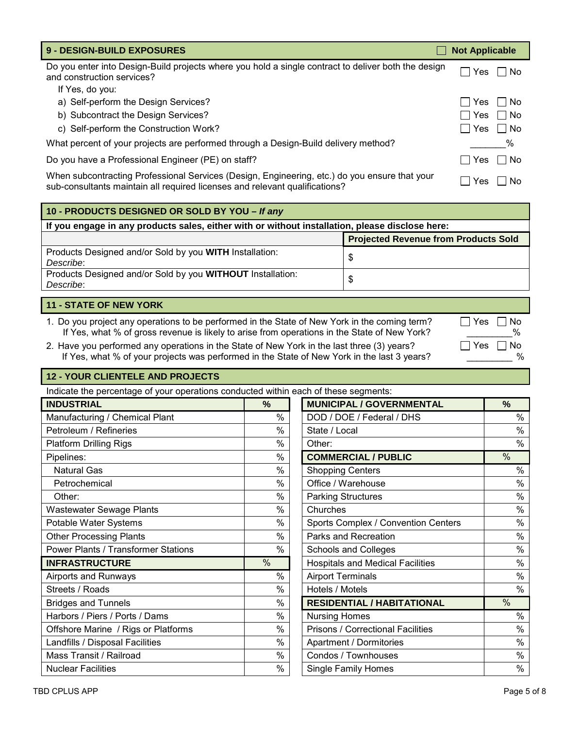| <b>9 - DESIGN-BUILD EXPOSURES</b>                                                                                                                                            | <b>Not Applicable</b> |
|------------------------------------------------------------------------------------------------------------------------------------------------------------------------------|-----------------------|
| Do you enter into Design-Build projects where you hold a single contract to deliver both the design<br>and construction services?                                            | l INo<br>Yes          |
| If Yes, do you:                                                                                                                                                              |                       |
| a) Self-perform the Design Services?                                                                                                                                         | ∣Yes ∣∣No             |
| b) Subcontract the Design Services?                                                                                                                                          | │Yes │ No             |
| c) Self-perform the Construction Work?                                                                                                                                       | Yes    No             |
| What percent of your projects are performed through a Design-Build delivery method?                                                                                          | %                     |
| Do you have a Professional Engineer (PE) on staff?                                                                                                                           | l INo<br>l Yes        |
| When subcontracting Professional Services (Design, Engineering, etc.) do you ensure that your<br>sub-consultants maintain all required licenses and relevant qualifications? | – I No<br><b>Yes</b>  |

| 10 - PRODUCTS DESIGNED OR SOLD BY YOU - If any                                                  |                                             |  |  |  |  |
|-------------------------------------------------------------------------------------------------|---------------------------------------------|--|--|--|--|
| If you engage in any products sales, either with or without installation, please disclose here: |                                             |  |  |  |  |
|                                                                                                 | <b>Projected Revenue from Products Sold</b> |  |  |  |  |
| Products Designed and/or Sold by you WITH Installation:<br>Describe:                            | \$                                          |  |  |  |  |
| Products Designed and/or Sold by you WITHOUT Installation:<br>Describe:                         | S                                           |  |  |  |  |

# **11 - STATE OF NEW YORK**

1. Do you project any operations to be performed in the State of New York in the coming term?  $\Box$  Yes  $\Box$  No If Yes, what % of gross revenue is likely to arise from operations in the State of New York?  $\%$ 

2. Have you performed any operations in the State of New York in the last three (3) years?<br>If Yes what % of vour proiects was performed in the State of New York in the last 3 years? If Yes, what % of your projects was performed in the State of New York in the last 3 years?

# **12 - YOUR CLIENTELE AND PROJECTS**

Indicate the percentage of your operations conducted within each of these segments: **INDUSTRIAL**   $\begin{bmatrix} 0 & 0 \\ 0 & 0 \end{bmatrix}$  **MUNICIPAL / GOVERNMENTAL**  $\begin{bmatrix} 0 & 0 \\ 0 & 0 \end{bmatrix}$ Manufacturing / Chemical Plant  $\begin{array}{ccc} | & 0 & 0 \\ \end{array}$   $\begin{array}{ccc} | & 0 & 0 \\ \end{array}$  DOD / DOE / Federal / DHS  $\begin{array}{ccc} | & 0 & 0 \\ \end{array}$ Petroleum / Refineries | % | | State / Local | % Platform Drilling Rigs **Solution Contract 1 and 2** % | Other:  $\begin{array}{ccc} \sim & \sim & \sim \end{array}$  8 % | Other: Pipelines: % **COMMERCIAL / PUBLIC** % Natural Gas **Shopping Centers** Natural Gas Natural Gas Natural Shopping Centers Natural Shopping Centers Natural Shopping Centers Natural Shopping Centers Natural Shopping Centers Natural Shopping Centers Natural Shopping Petrochemical % Office / Warehouse % Other: % Parking Structures % Wastewater Sewage Plants | % | | Churches | % Potable Water Systems The System System System System System System System System System System System System S Other Processing Plants | % | | Parks and Recreation | % Power Plants / Transformer Stations The Manusculing Warehous and Colleges The Society of Schools and Colleges The Society of Society of Schools and Colleges Theory of Society of Society of Society of Schools and Colleges T **INFRASTRUCTURE** WE RESOLUTE THE SAME RESOLUTION OF SAME RESOLUTION ASSESSED. Airports and Runways | % | | Airport Terminals | % Streets / Roads | % | | Hotels / Motels | % Bridges and Tunnels **Network 1 Million Control 1 Million** % **RESIDENTIAL / HABITATIONAL 1 Million** % Harbors / Piers / Ports / Dams Nursing Homes Nursing Homes Nursing Homes Nursing Homes Nursing Home Nursing Home Nursing Home Nursing Home Nursing Home Nursing Home Nursing Home Nursing Home Nursing Home Nursing Home Nursi Offshore Marine / Rigs or Platforms  $\begin{array}{ccc} | & 0 \\ | & | \end{array}$  Prisons / Correctional Facilities  $\begin{array}{ccc} | & 0 \\ | & | \end{array}$ Landfills / Disposal Facilities | % | | Apartment / Dormitories | % Mass Transit / Railroad | % | | Condos / Townhouses | %

Nuclear Facilities **Single Family Homes** Nuclear Facilities **Single Family Homes** Nuclear Facilities **Single Family Homes**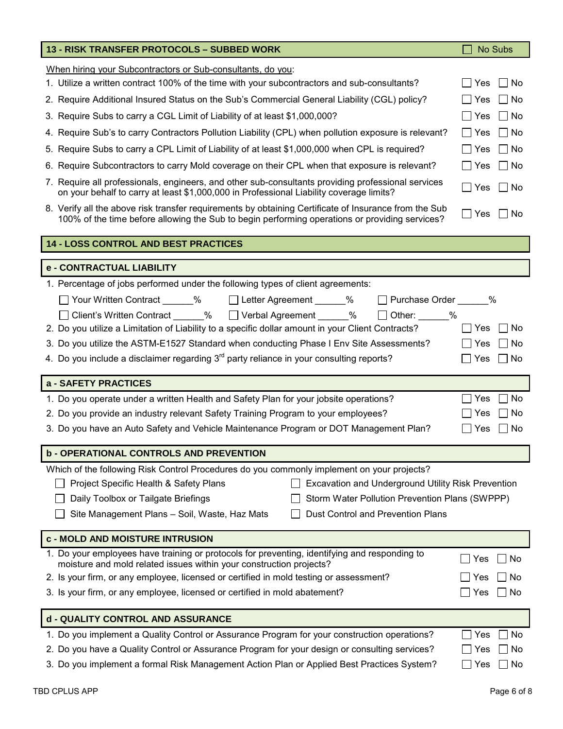| 13 - RISK TRANSFER PROTOCOLS - SUBBED WORK                                                                                                                                                              | No Subs          |
|---------------------------------------------------------------------------------------------------------------------------------------------------------------------------------------------------------|------------------|
| When hiring your Subcontractors or Sub-consultants, do you:                                                                                                                                             |                  |
| 1. Utilize a written contract 100% of the time with your subcontractors and sub-consultants?                                                                                                            | No<br>Yes        |
| 2. Require Additional Insured Status on the Sub's Commercial General Liability (CGL) policy?                                                                                                            | No<br>Yes        |
| 3. Require Subs to carry a CGL Limit of Liability of at least \$1,000,000?                                                                                                                              | l No<br>Yes      |
| 4. Require Sub's to carry Contractors Pollution Liability (CPL) when pollution exposure is relevant?                                                                                                    | No<br>Yes        |
| 5. Require Subs to carry a CPL Limit of Liability of at least \$1,000,000 when CPL is required?                                                                                                         | No<br>Yes        |
|                                                                                                                                                                                                         | ∣No              |
| 6. Require Subcontractors to carry Mold coverage on their CPL when that exposure is relevant?                                                                                                           | Yes              |
| 7. Require all professionals, engineers, and other sub-consultants providing professional services<br>on your behalf to carry at least \$1,000,000 in Professional Liability coverage limits?           | ∣ I No<br>Yes    |
| 8. Verify all the above risk transfer requirements by obtaining Certificate of Insurance from the Sub<br>100% of the time before allowing the Sub to begin performing operations or providing services? | Yes<br>l I No    |
| 14 - LOSS CONTROL AND BEST PRACTICES                                                                                                                                                                    |                  |
| e - CONTRACTUAL LIABILITY                                                                                                                                                                               |                  |
| 1. Percentage of jobs performed under the following types of client agreements:                                                                                                                         |                  |
| Your Written Contract ______% □Letter Agreement ______%<br>Purchase Order %                                                                                                                             |                  |
| Client's Written Contract 2% ■ Verbal Agreement 2% 2%<br>$\Box$ Other: $\_\_\_\_\_\$                                                                                                                    |                  |
| 2. Do you utilize a Limitation of Liability to a specific dollar amount in your Client Contracts?                                                                                                       | Yes<br><b>No</b> |
| 3. Do you utilize the ASTM-E1527 Standard when conducting Phase I Env Site Assessments?                                                                                                                 | No<br>Yes        |
| 4. Do you include a disclaimer regarding $3rd$ party reliance in your consulting reports?                                                                                                               | No<br>Yes        |
| a - SAFETY PRACTICES                                                                                                                                                                                    |                  |
| 1. Do you operate under a written Health and Safety Plan for your jobsite operations?                                                                                                                   | No<br>Yes        |
| 2. Do you provide an industry relevant Safety Training Program to your employees?                                                                                                                       | <b>No</b><br>Yes |
| 3. Do you have an Auto Safety and Vehicle Maintenance Program or DOT Management Plan?                                                                                                                   | No<br>Yes        |
| <b>b - OPERATIONAL CONTROLS AND PREVENTION</b>                                                                                                                                                          |                  |
| Which of the following Risk Control Procedures do you commonly implement on your projects?                                                                                                              |                  |
| Excavation and Underground Utility Risk Prevention<br>Project Specific Health & Safety Plans                                                                                                            |                  |
| Daily Toolbox or Tailgate Briefings<br>Storm Water Pollution Prevention Plans (SWPPP)                                                                                                                   |                  |
| Site Management Plans - Soil, Waste, Haz Mats<br>Dust Control and Prevention Plans                                                                                                                      |                  |
| c - MOLD AND MOISTURE INTRUSION                                                                                                                                                                         |                  |
| 1. Do your employees have training or protocols for preventing, identifying and responding to<br>moisture and mold related issues within your construction projects?                                    | No<br>Yes        |
| 2. Is your firm, or any employee, licensed or certified in mold testing or assessment?                                                                                                                  | No<br>Yes        |
| 3. Is your firm, or any employee, licensed or certified in mold abatement?                                                                                                                              | No<br>Yes        |
| d - QUALITY CONTROL AND ASSURANCE                                                                                                                                                                       |                  |
| 1. Do you implement a Quality Control or Assurance Program for your construction operations?                                                                                                            | No<br>Yes        |
| 2. Do you have a Quality Control or Assurance Program for your design or consulting services?                                                                                                           | No<br>Yes        |
| 3. Do you implement a formal Risk Management Action Plan or Applied Best Practices System?                                                                                                              | No<br>Yes        |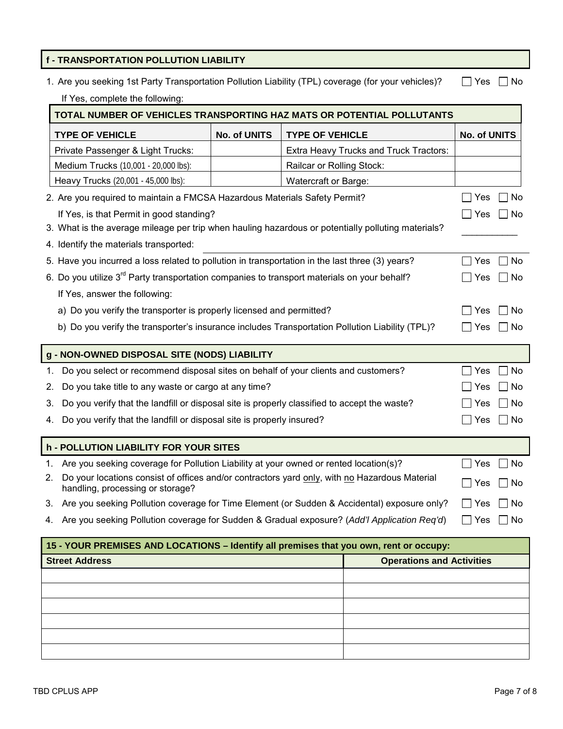# **f - TRANSPORTATION POLLUTION LIABILITY**

|  |  |  | 1. Are you seeking 1st Party Transportation Pollution Liability (TPL) coverage (for your vehicles)? □ Yes □ No |  |  |
|--|--|--|----------------------------------------------------------------------------------------------------------------|--|--|
|--|--|--|----------------------------------------------------------------------------------------------------------------|--|--|

If Yes, complete the following:

| TOTAL NUMBER OF VEHICLES TRANSPORTING HAZ MATS OR POTENTIAL POLLUTANTS                                                                  |              |                           |                                        |              |      |
|-----------------------------------------------------------------------------------------------------------------------------------------|--------------|---------------------------|----------------------------------------|--------------|------|
| <b>TYPE OF VEHICLE</b>                                                                                                                  | No. of UNITS | <b>TYPE OF VEHICLE</b>    |                                        | No. of UNITS |      |
| Private Passenger & Light Trucks:                                                                                                       |              |                           | Extra Heavy Trucks and Truck Tractors: |              |      |
| Medium Trucks (10,001 - 20,000 lbs):                                                                                                    |              | Railcar or Rolling Stock: |                                        |              |      |
| Heavy Trucks (20,001 - 45,000 lbs):                                                                                                     |              | Watercraft or Barge:      |                                        |              |      |
| 2. Are you required to maintain a FMCSA Hazardous Materials Safety Permit?                                                              |              |                           |                                        | Yes          | ∣No  |
| If Yes, is that Permit in good standing?                                                                                                |              |                           |                                        | Yes          | ∣No  |
| 3. What is the average mileage per trip when hauling hazardous or potentially polluting materials?                                      |              |                           |                                        |              |      |
| 4. Identify the materials transported:                                                                                                  |              |                           |                                        |              |      |
| 5. Have you incurred a loss related to pollution in transportation in the last three (3) years?                                         |              |                           |                                        | Yes          | No   |
| 6. Do you utilize 3 <sup>rd</sup> Party transportation companies to transport materials on your behalf?                                 |              |                           |                                        | Yes          | l No |
| If Yes, answer the following:                                                                                                           |              |                           |                                        |              |      |
| a) Do you verify the transporter is properly licensed and permitted?                                                                    |              |                           | Yes                                    | l No         |      |
| b) Do you verify the transporter's insurance includes Transportation Pollution Liability (TPL)?                                         |              |                           | <b>Yes</b>                             | l No         |      |
| g - NON-OWNED DISPOSAL SITE (NODS) LIABILITY                                                                                            |              |                           |                                        |              |      |
| Do you select or recommend disposal sites on behalf of your clients and customers?<br>1.                                                |              |                           |                                        | Yes          | No   |
| Do you take title to any waste or cargo at any time?<br>2.                                                                              |              | Yes                       | No                                     |              |      |
| Do you verify that the landfill or disposal site is properly classified to accept the waste?<br>3.                                      |              | Yes                       | ∣No                                    |              |      |
| Do you verify that the landfill or disposal site is properly insured?<br>4.                                                             |              |                           | Yes                                    | No           |      |
| <b>h - POLLUTION LIABILITY FOR YOUR SITES</b>                                                                                           |              |                           |                                        |              |      |
| Are you seeking coverage for Pollution Liability at your owned or rented location(s)?<br>1.                                             |              | Yes                       | ∃ No                                   |              |      |
| Do your locations consist of offices and/or contractors yard only, with no Hazardous Material<br>2.<br>handling, processing or storage? |              | Yes                       | No                                     |              |      |
| 3. Are you seeking Pollution coverage for Time Element (or Sudden & Accidental) exposure only?                                          |              | Yes                       | No                                     |              |      |
| 4. Are you seeking Pollution coverage for Sudden & Gradual exposure? (Add'l Application Req'd)                                          |              | Yes                       | $\exists$ No                           |              |      |
| 15 - YOUR PREMISES AND LOCATIONS - Identify all premises that you own, rent or occupy:                                                  |              |                           |                                        |              |      |
| <b>Street Address</b>                                                                                                                   |              |                           | <b>Operations and Activities</b>       |              |      |
|                                                                                                                                         |              |                           |                                        |              |      |
|                                                                                                                                         |              |                           |                                        |              |      |
|                                                                                                                                         |              |                           |                                        |              |      |